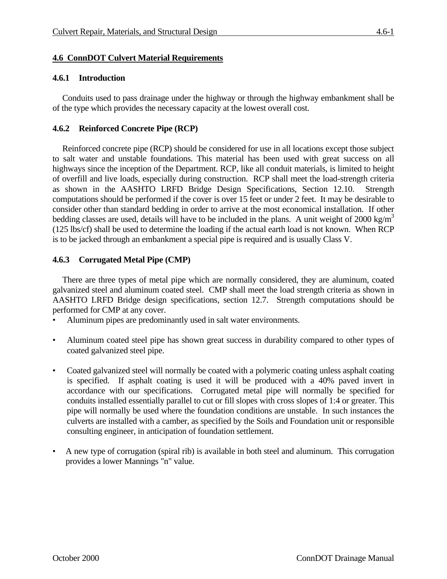# **4.6 ConnDOT Culvert Material Requirements**

#### **4.6.1 Introduction**

Conduits used to pass drainage under the highway or through the highway embankment shall be of the type which provides the necessary capacity at the lowest overall cost.

# **4.6.2 Reinforced Concrete Pipe (RCP)**

Reinforced concrete pipe (RCP) should be considered for use in all locations except those subject to salt water and unstable foundations. This material has been used with great success on all highways since the inception of the Department. RCP, like all conduit materials, is limited to height of overfill and live loads, especially during construction. RCP shall meet the load-strength criteria as shown in the AASHTO LRFD Bridge Design Specifications, Section 12.10. Strength computations should be performed if the cover is over 15 feet or under 2 feet. It may be desirable to consider other than standard bedding in order to arrive at the most economical installation. If other bedding classes are used, details will have to be included in the plans. A unit weight of 2000 kg/m<sup>3</sup> (125 lbs/cf) shall be used to determine the loading if the actual earth load is not known. When RCP is to be jacked through an embankment a special pipe is required and is usually Class V.

# **4.6.3 Corrugated Metal Pipe (CMP)**

There are three types of metal pipe which are normally considered, they are aluminum, coated galvanized steel and aluminum coated steel. CMP shall meet the load strength criteria as shown in AASHTO LRFD Bridge design specifications, section 12.7. Strength computations should be performed for CMP at any cover.

- Aluminum pipes are predominantly used in salt water environments.
- Aluminum coated steel pipe has shown great success in durability compared to other types of coated galvanized steel pipe.
- Coated galvanized steel will normally be coated with a polymeric coating unless asphalt coating is specified. If asphalt coating is used it will be produced with a 40% paved invert in accordance with our specifications. Corrugated metal pipe will normally be specified for conduits installed essentially parallel to cut or fill slopes with cross slopes of 1:4 or greater. This pipe will normally be used where the foundation conditions are unstable. In such instances the culverts are installed with a camber, as specified by the Soils and Foundation unit or responsible consulting engineer, in anticipation of foundation settlement.
- A new type of corrugation (spiral rib) is available in both steel and aluminum. This corrugation provides a lower Mannings "n" value.